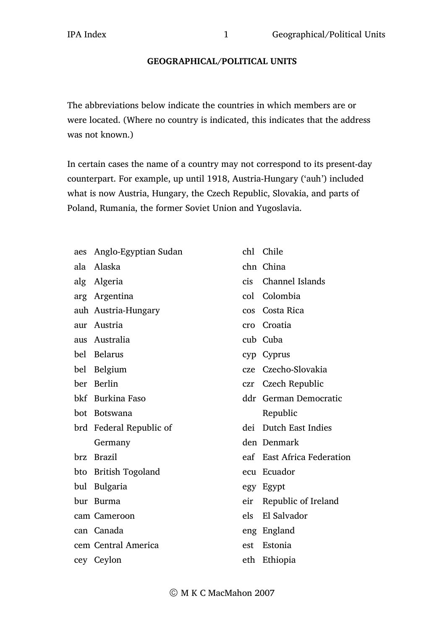## **GEOGRAPHICAL/POLITICAL UNITS**

The abbreviations below indicate the countries in which members are or were located. (Where no country is indicated, this indicates that the address was not known.)

In certain cases the name of a country may not correspond to its present-day counterpart. For example, up until 1918, Austria-Hungary ('auh') included what is now Austria, Hungary, the Czech Republic, Slovakia, and parts of Poland, Rumania, the former Soviet Union and Yugoslavia.

- aes Anglo-Egyptian Sudan
- ala Alaska
- alg Algeria
- arg Argentina
- auh Austria-Hungary
- aur Austria
- aus Australia
- bel Belarus
- bel Belgium
- ber Berlin
- bkf Burkina Faso
- bot Botswana
- brd Federal Republic of Germany
- brz Brazil
- bto British Togoland
- bul Bulgaria
- bur Burma
- cam Cameroon
- can Canada
- cem Central America
- cev Cevlon
- chl Chile
- chn China
- Channel Islands  $\operatorname{cis}$
- col Colombia
- cos Costa Rica
- cro Croatia
- cub Cuba
- cyp Cyprus
- cze Czecho-Slovakia
- czr Czech Republic
- ddr German Democratic Republic
- dei Dutch East Indies
- den Denmark
- eaf East Africa Federation
- ecu Ecuador
- egy Egypt
- eir Republic of Ireland
- els El Salvador
- eng England
- est Estonia
- eth Ethiopia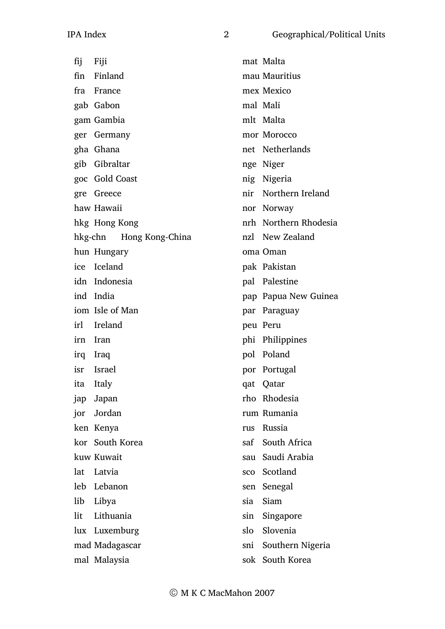| fij<br>Fiji             | mat Malta               |
|-------------------------|-------------------------|
| Finland<br>fin          | mau Mauritius           |
| fra France              | mex Mexico              |
| gab Gabon               | mal Mali                |
| gam Gambia              | mlt Malta               |
| ger Germany             | mor Morocco             |
| gha Ghana               | net Netherlands         |
| gib Gibraltar           | nge Niger               |
| goc Gold Coast          | nig Nigeria             |
| Greece<br>gre           | nir Northern Ireland    |
| haw Hawaii              | nor Norway              |
| hkg Hong Kong           | nrh Northern Rhodesia   |
| hkg-chn Hong Kong-China | nzl New Zealand         |
| hun Hungary             | oma Oman                |
| ice Iceland             | pak Pakistan            |
| idn Indonesia           | pal Palestine           |
| ind India               | pap Papua New Guinea    |
| iom Isle of Man         | par Paraguay            |
| Ireland<br>irl          | peu Peru                |
| irn Iran                | phi Philippines         |
| irq Iraq                | pol Poland              |
| <b>Israel</b><br>isr    | por Portugal            |
| Italy<br>ita            | qat Qatar               |
| Japan<br>jap            | rho Rhodesia            |
| Jordan<br>jor           | rum Rumania             |
| ken Kenya               | Russia<br>rus           |
| kor South Korea         | saf South Africa        |
| kuw Kuwait              | sau Saudi Arabia        |
| lat<br>Latvia           | sco Scotland            |
| leb Lebanon             | Senegal<br>sen          |
| lib<br>Libya            | Siam<br>sia             |
| Lithuania<br>lit        | Singapore<br>sin        |
| lux Luxemburg           | slo<br>Slovenia         |
| mad Madagascar          | Southern Nigeria<br>sni |
| mal Malaysia            | sok South Korea         |